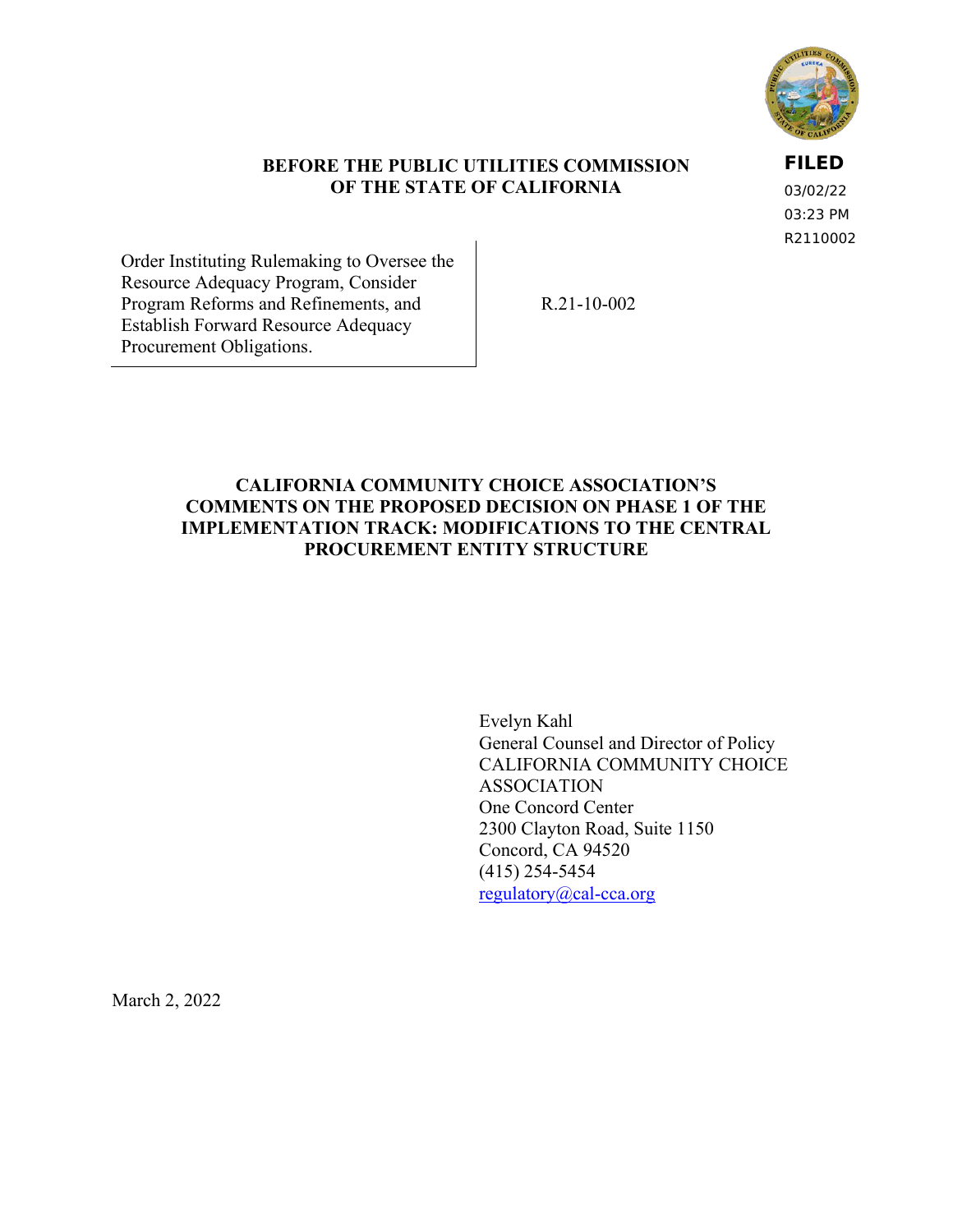

### **BEFORE THE PUBLIC UTILITIES COMMISSION OF THE STATE OF CALIFORNIA**

**FILED**

03/02/22 03:23 PM R2110002

Order Instituting Rulemaking to Oversee the Resource Adequacy Program, Consider Program Reforms and Refinements, and Establish Forward Resource Adequacy Procurement Obligations.

R.21-10-002

## **CALIFORNIA COMMUNITY CHOICE ASSOCIATION'S COMMENTS ON THE PROPOSED DECISION ON PHASE 1 OF THE IMPLEMENTATION TRACK: MODIFICATIONS TO THE CENTRAL PROCUREMENT ENTITY STRUCTURE**

Evelyn Kahl General Counsel and Director of Policy CALIFORNIA COMMUNITY CHOICE ASSOCIATION One Concord Center 2300 Clayton Road, Suite 1150 Concord, CA 94520 (415) 254-5454 [regulatory@cal-cca.org](mailto:regulatory@cal-cca.org)

March 2, 2022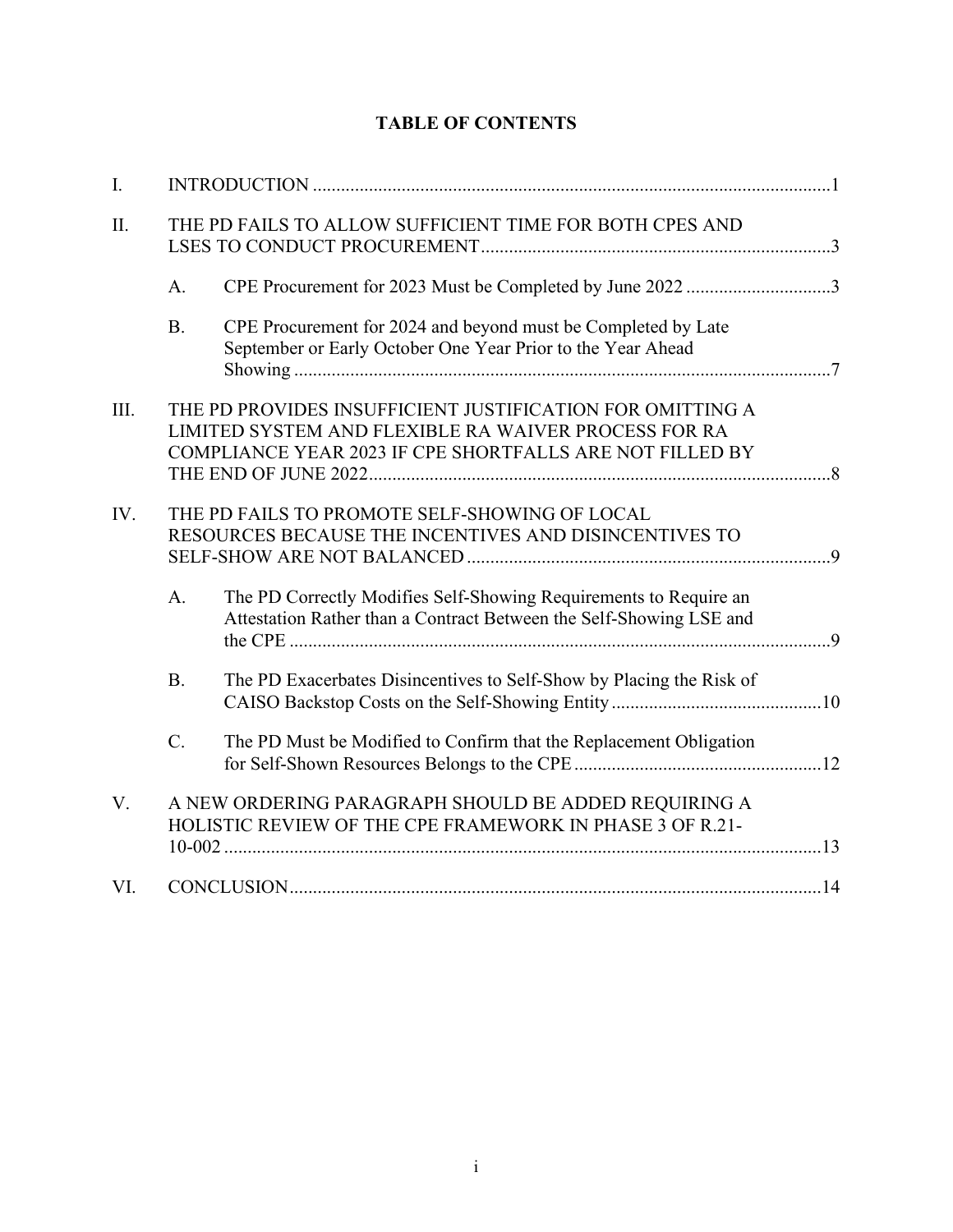| Ι.   |                                                                                                                  |                                                                                                                                                                               |  |
|------|------------------------------------------------------------------------------------------------------------------|-------------------------------------------------------------------------------------------------------------------------------------------------------------------------------|--|
| Π.   | THE PD FAILS TO ALLOW SUFFICIENT TIME FOR BOTH CPES AND                                                          |                                                                                                                                                                               |  |
|      | A.                                                                                                               | CPE Procurement for 2023 Must be Completed by June 2022 3                                                                                                                     |  |
|      | <b>B.</b>                                                                                                        | CPE Procurement for 2024 and beyond must be Completed by Late<br>September or Early October One Year Prior to the Year Ahead                                                  |  |
| III. |                                                                                                                  | THE PD PROVIDES INSUFFICIENT JUSTIFICATION FOR OMITTING A<br>LIMITED SYSTEM AND FLEXIBLE RA WAIVER PROCESS FOR RA<br>COMPLIANCE YEAR 2023 IF CPE SHORTFALLS ARE NOT FILLED BY |  |
|      |                                                                                                                  |                                                                                                                                                                               |  |
| IV.  |                                                                                                                  | THE PD FAILS TO PROMOTE SELF-SHOWING OF LOCAL<br>RESOURCES BECAUSE THE INCENTIVES AND DISINCENTIVES TO                                                                        |  |
|      | A <sub>1</sub>                                                                                                   | The PD Correctly Modifies Self-Showing Requirements to Require an<br>Attestation Rather than a Contract Between the Self-Showing LSE and                                      |  |
|      | <b>B.</b>                                                                                                        | The PD Exacerbates Disincentives to Self-Show by Placing the Risk of                                                                                                          |  |
|      | $\mathcal{C}$ .                                                                                                  | The PD Must be Modified to Confirm that the Replacement Obligation                                                                                                            |  |
| V.   | A NEW ORDERING PARAGRAPH SHOULD BE ADDED REQUIRING A<br>HOLISTIC REVIEW OF THE CPE FRAMEWORK IN PHASE 3 OF R.21- |                                                                                                                                                                               |  |
| VI.  |                                                                                                                  |                                                                                                                                                                               |  |

# **TABLE OF CONTENTS**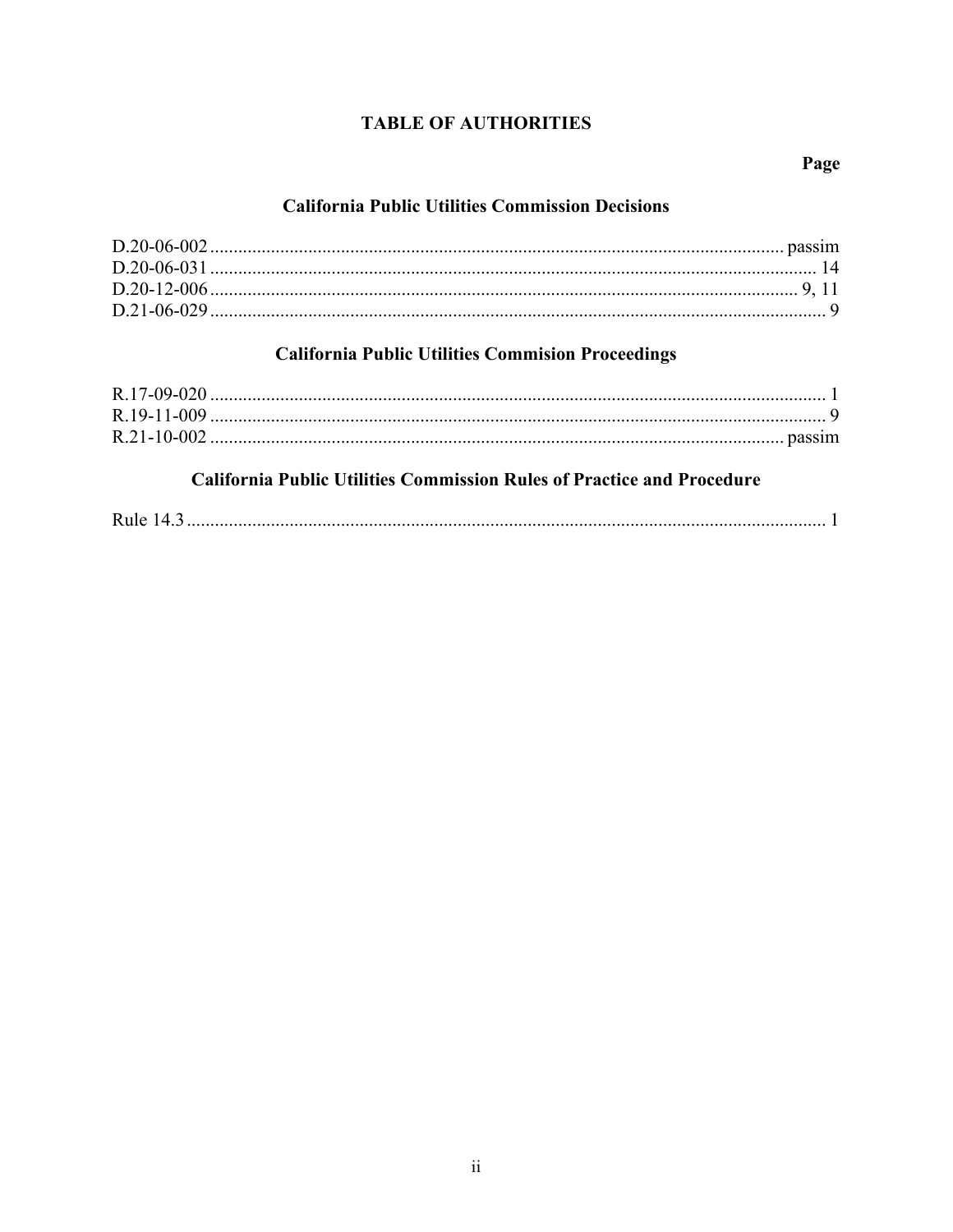# **TABLE OF AUTHORITIES**

### Page

# **California Public Utilities Commission Decisions**

# **California Public Utilities Commision Proceedings**

# **California Public Utilities Commission Rules of Practice and Procedure**

|--|--|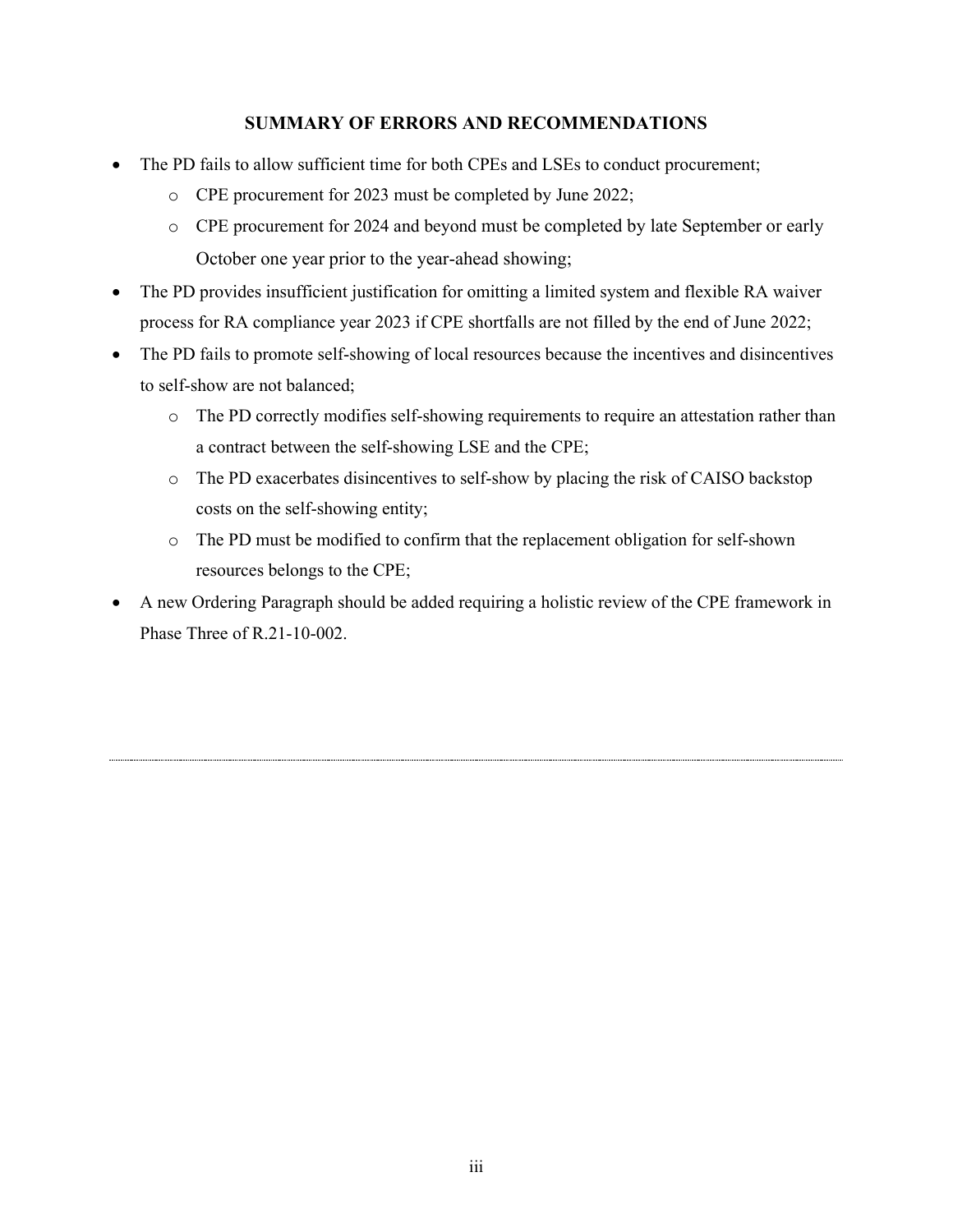### **SUMMARY OF ERRORS AND RECOMMENDATIONS**

- The PD fails to allow sufficient time for both CPEs and LSEs to conduct procurement;
	- o CPE procurement for 2023 must be completed by June 2022;
	- o CPE procurement for 2024 and beyond must be completed by late September or early October one year prior to the year-ahead showing;
- The PD provides insufficient justification for omitting a limited system and flexible RA waiver process for RA compliance year 2023 if CPE shortfalls are not filled by the end of June 2022;
- The PD fails to promote self-showing of local resources because the incentives and disincentives to self-show are not balanced;
	- o The PD correctly modifies self-showing requirements to require an attestation rather than a contract between the self-showing LSE and the CPE;
	- o The PD exacerbates disincentives to self-show by placing the risk of CAISO backstop costs on the self-showing entity;
	- o The PD must be modified to confirm that the replacement obligation for self-shown resources belongs to the CPE;
- A new Ordering Paragraph should be added requiring a holistic review of the CPE framework in Phase Three of R.21-10-002.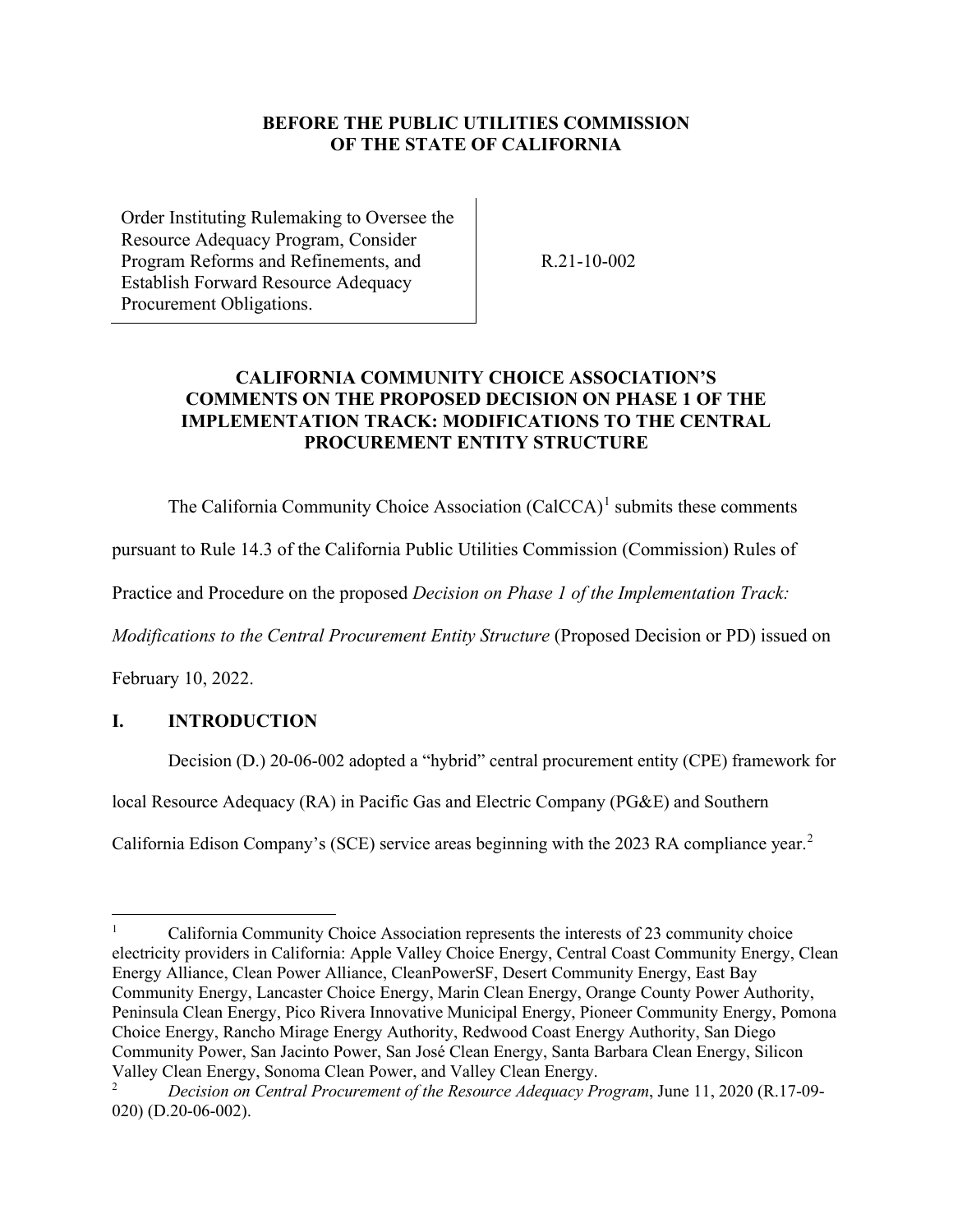### **BEFORE THE PUBLIC UTILITIES COMMISSION OF THE STATE OF CALIFORNIA**

Order Instituting Rulemaking to Oversee the Resource Adequacy Program, Consider Program Reforms and Refinements, and Establish Forward Resource Adequacy Procurement Obligations.

R.21-10-002

# **CALIFORNIA COMMUNITY CHOICE ASSOCIATION'S COMMENTS ON THE PROPOSED DECISION ON PHASE 1 OF THE IMPLEMENTATION TRACK: MODIFICATIONS TO THE CENTRAL PROCUREMENT ENTITY STRUCTURE**

The California Community Choice Association  $(CaICCA)^1$  $(CaICCA)^1$  submits these comments

pursuant to Rule 14.3 of the California Public Utilities Commission (Commission) Rules of

Practice and Procedure on the proposed *Decision on Phase 1 of the Implementation Track:* 

*Modifications to the Central Procurement Entity Structure* (Proposed Decision or PD) issued on

February 10, 2022.

# <span id="page-4-0"></span>**I. INTRODUCTION**

Decision (D.) 20-06-002 adopted a "hybrid" central procurement entity (CPE) framework for

local Resource Adequacy (RA) in Pacific Gas and Electric Company (PG&E) and Southern

California Edison Company's (SCE) service areas beginning with the [2](#page-4-2)023 RA compliance year.<sup>2</sup>

<span id="page-4-1"></span><sup>1</sup> California Community Choice Association represents the interests of 23 community choice electricity providers in California: Apple Valley Choice Energy, Central Coast Community Energy, Clean Energy Alliance, Clean Power Alliance, CleanPowerSF, Desert Community Energy, East Bay Community Energy, Lancaster Choice Energy, Marin Clean Energy, Orange County Power Authority, Peninsula Clean Energy, Pico Rivera Innovative Municipal Energy, Pioneer Community Energy, Pomona Choice Energy, Rancho Mirage Energy Authority, Redwood Coast Energy Authority, San Diego Community Power, San Jacinto Power, San José Clean Energy, Santa Barbara Clean Energy, Silicon Valley Clean Energy, Sonoma Clean Power, and Valley Clean Energy.

<span id="page-4-2"></span><sup>2</sup> *Decision on Central Procurement of the Resource Adequacy Program*, June 11, 2020 (R.17-09- 020) (D.20-06-002).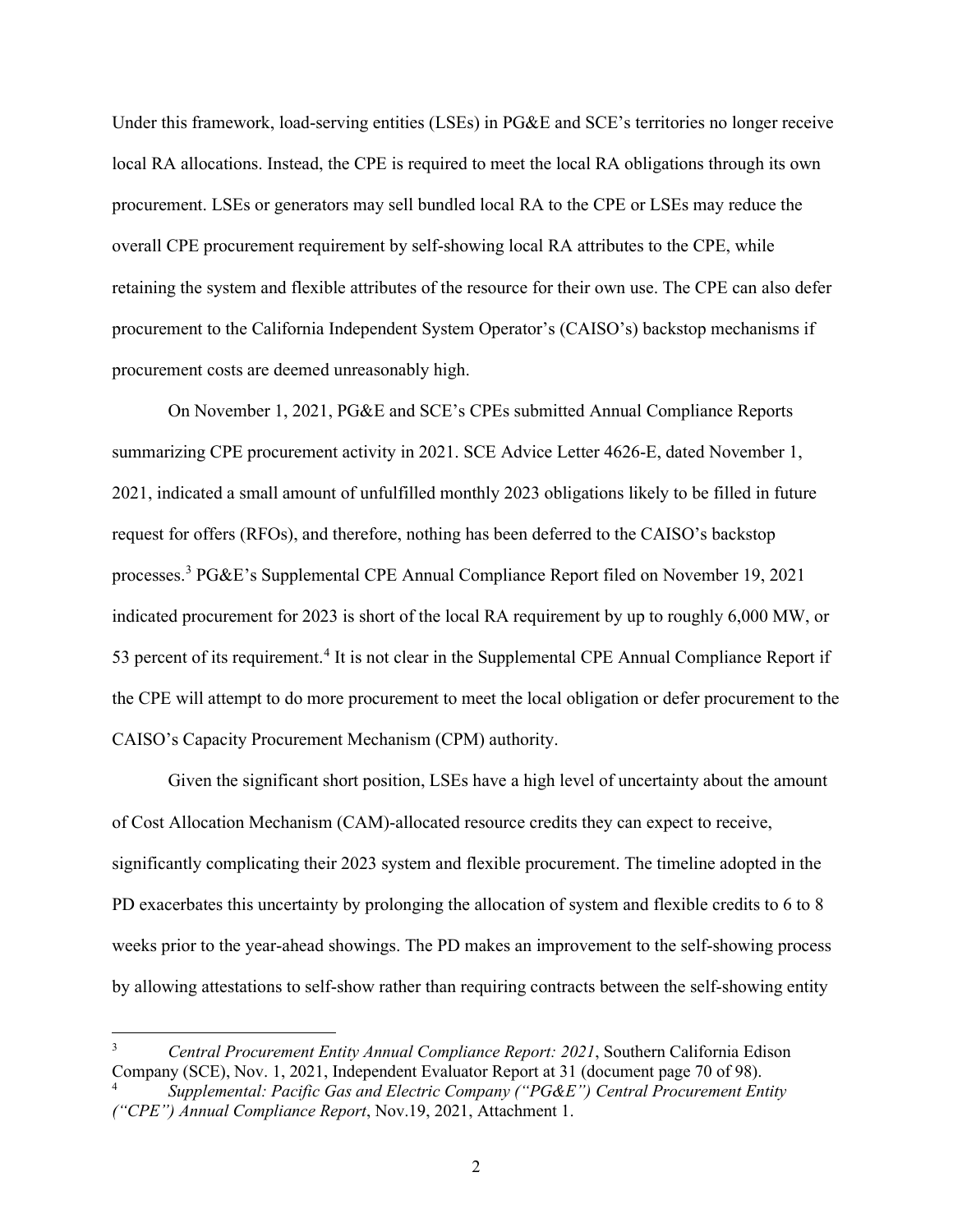Under this framework, load-serving entities (LSEs) in PG&E and SCE's territories no longer receive local RA allocations. Instead, the CPE is required to meet the local RA obligations through its own procurement. LSEs or generators may sell bundled local RA to the CPE or LSEs may reduce the overall CPE procurement requirement by self-showing local RA attributes to the CPE, while retaining the system and flexible attributes of the resource for their own use. The CPE can also defer procurement to the California Independent System Operator's (CAISO's) backstop mechanisms if procurement costs are deemed unreasonably high.

On November 1, 2021, PG&E and SCE's CPEs submitted Annual Compliance Reports summarizing CPE procurement activity in 2021. SCE Advice Letter 4626-E, dated November 1, 2021, indicated a small amount of unfulfilled monthly 2023 obligations likely to be filled in future request for offers (RFOs), and therefore, nothing has been deferred to the CAISO's backstop processes.[3](#page-5-0) PG&E's Supplemental CPE Annual Compliance Report filed on November 19, 2021 indicated procurement for 2023 is short of the local RA requirement by up to roughly 6,000 MW, or 53 percent of its requirement.<sup>[4](#page-5-1)</sup> It is not clear in the Supplemental CPE Annual Compliance Report if the CPE will attempt to do more procurement to meet the local obligation or defer procurement to the CAISO's Capacity Procurement Mechanism (CPM) authority.

Given the significant short position, LSEs have a high level of uncertainty about the amount of Cost Allocation Mechanism (CAM)-allocated resource credits they can expect to receive, significantly complicating their 2023 system and flexible procurement. The timeline adopted in the PD exacerbates this uncertainty by prolonging the allocation of system and flexible credits to 6 to 8 weeks prior to the year-ahead showings. The PD makes an improvement to the self-showing process by allowing attestations to self-show rather than requiring contracts between the self-showing entity

<span id="page-5-0"></span><sup>3</sup> *Central Procurement Entity Annual Compliance Report: 2021*, Southern California Edison Company (SCE), Nov. 1, 2021, Independent Evaluator Report at 31 (document page 70 of 98).

<span id="page-5-1"></span><sup>4</sup> *Supplemental: Pacific Gas and Electric Company ("PG&E") Central Procurement Entity ("CPE") Annual Compliance Report*, Nov.19, 2021, Attachment 1.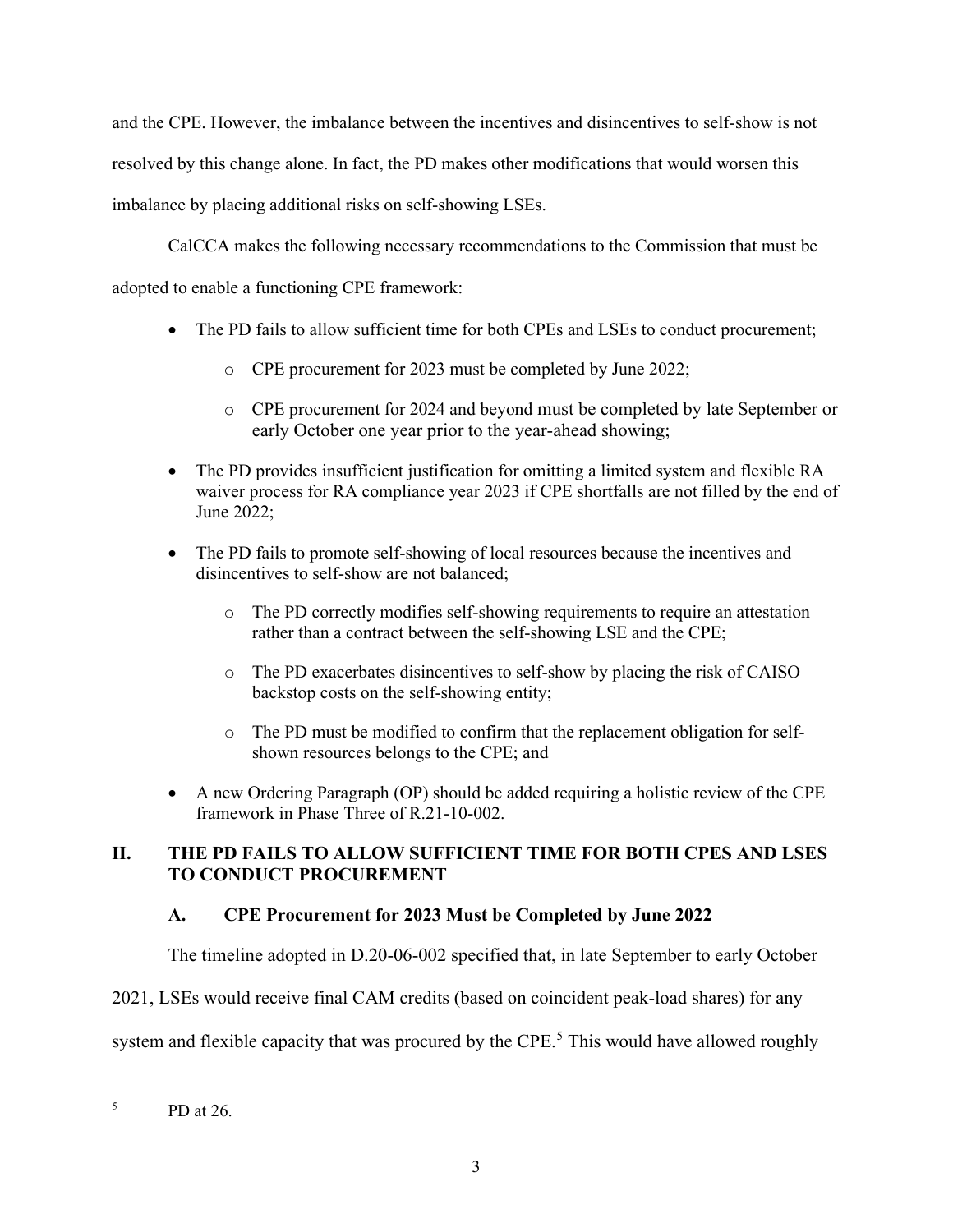and the CPE. However, the imbalance between the incentives and disincentives to self-show is not resolved by this change alone. In fact, the PD makes other modifications that would worsen this imbalance by placing additional risks on self-showing LSEs.

CalCCA makes the following necessary recommendations to the Commission that must be

adopted to enable a functioning CPE framework:

- The PD fails to allow sufficient time for both CPEs and LSEs to conduct procurement;
	- o CPE procurement for 2023 must be completed by June 2022;
	- o CPE procurement for 2024 and beyond must be completed by late September or early October one year prior to the year-ahead showing;
- The PD provides insufficient justification for omitting a limited system and flexible RA waiver process for RA compliance year 2023 if CPE shortfalls are not filled by the end of June 2022;
- The PD fails to promote self-showing of local resources because the incentives and disincentives to self-show are not balanced;
	- o The PD correctly modifies self-showing requirements to require an attestation rather than a contract between the self-showing LSE and the CPE;
	- o The PD exacerbates disincentives to self-show by placing the risk of CAISO backstop costs on the self-showing entity;
	- o The PD must be modified to confirm that the replacement obligation for selfshown resources belongs to the CPE; and
- A new Ordering Paragraph (OP) should be added requiring a holistic review of the CPE framework in Phase Three of R.21-10-002.

# <span id="page-6-0"></span>**II. THE PD FAILS TO ALLOW SUFFICIENT TIME FOR BOTH CPES AND LSES TO CONDUCT PROCUREMENT**

# <span id="page-6-1"></span>**A. CPE Procurement for 2023 Must be Completed by June 2022**

The timeline adopted in D.20-06-002 specified that, in late September to early October

2021, LSEs would receive final CAM credits (based on coincident peak-load shares) for any

system and flexible capacity that was procured by the CPE.<sup>[5](#page-6-2)</sup> This would have allowed roughly

<span id="page-6-2"></span><sup>5</sup> PD at 26.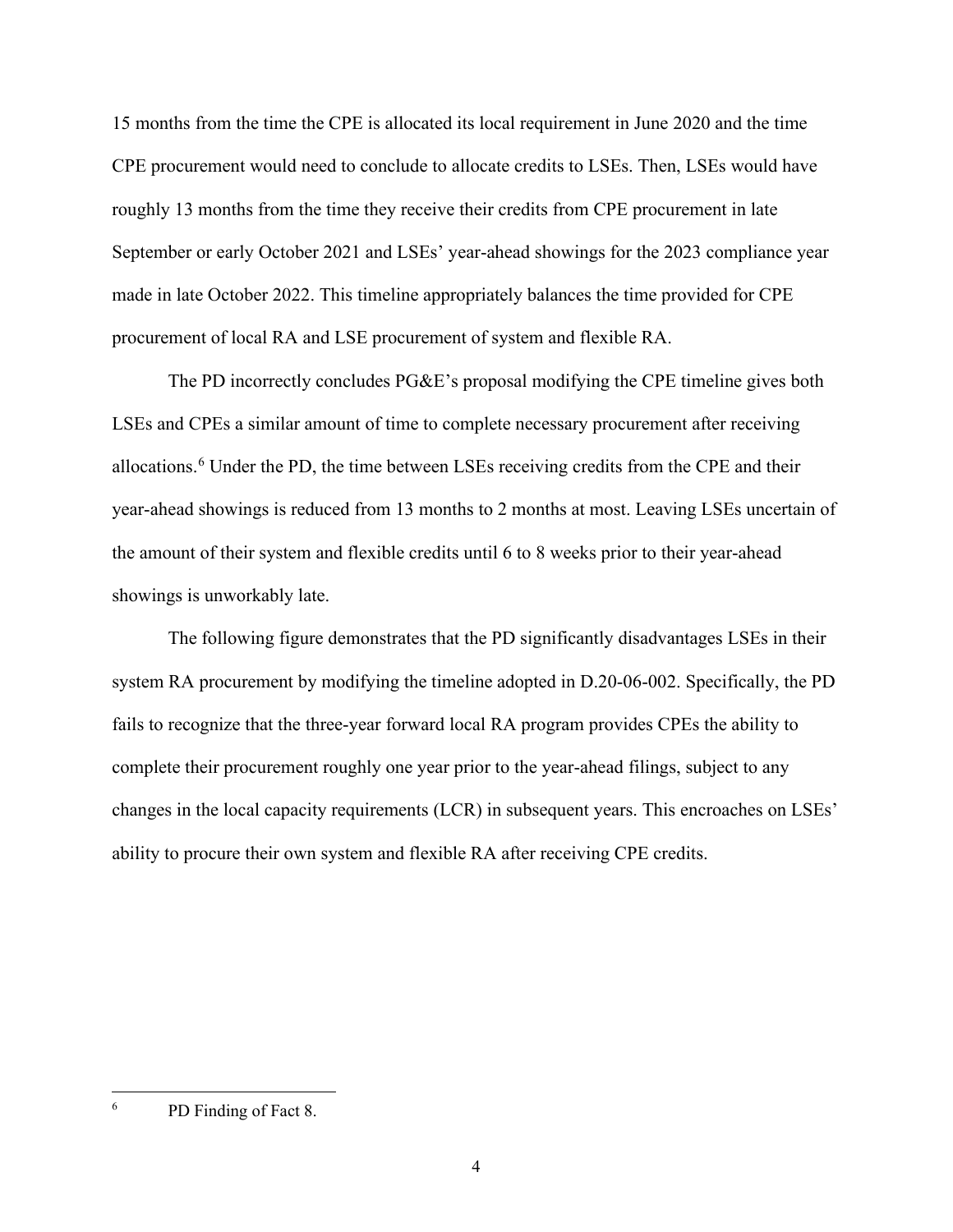15 months from the time the CPE is allocated its local requirement in June 2020 and the time CPE procurement would need to conclude to allocate credits to LSEs. Then, LSEs would have roughly 13 months from the time they receive their credits from CPE procurement in late September or early October 2021 and LSEs' year-ahead showings for the 2023 compliance year made in late October 2022. This timeline appropriately balances the time provided for CPE procurement of local RA and LSE procurement of system and flexible RA.

The PD incorrectly concludes PG&E's proposal modifying the CPE timeline gives both LSEs and CPEs a similar amount of time to complete necessary procurement after receiving allocations.<sup>[6](#page-7-0)</sup> Under the PD, the time between LSEs receiving credits from the CPE and their year-ahead showings is reduced from 13 months to 2 months at most. Leaving LSEs uncertain of the amount of their system and flexible credits until 6 to 8 weeks prior to their year-ahead showings is unworkably late.

The following figure demonstrates that the PD significantly disadvantages LSEs in their system RA procurement by modifying the timeline adopted in D.20-06-002. Specifically, the PD fails to recognize that the three-year forward local RA program provides CPEs the ability to complete their procurement roughly one year prior to the year-ahead filings, subject to any changes in the local capacity requirements (LCR) in subsequent years. This encroaches on LSEs' ability to procure their own system and flexible RA after receiving CPE credits.

<span id="page-7-0"></span><sup>6</sup> PD Finding of Fact 8.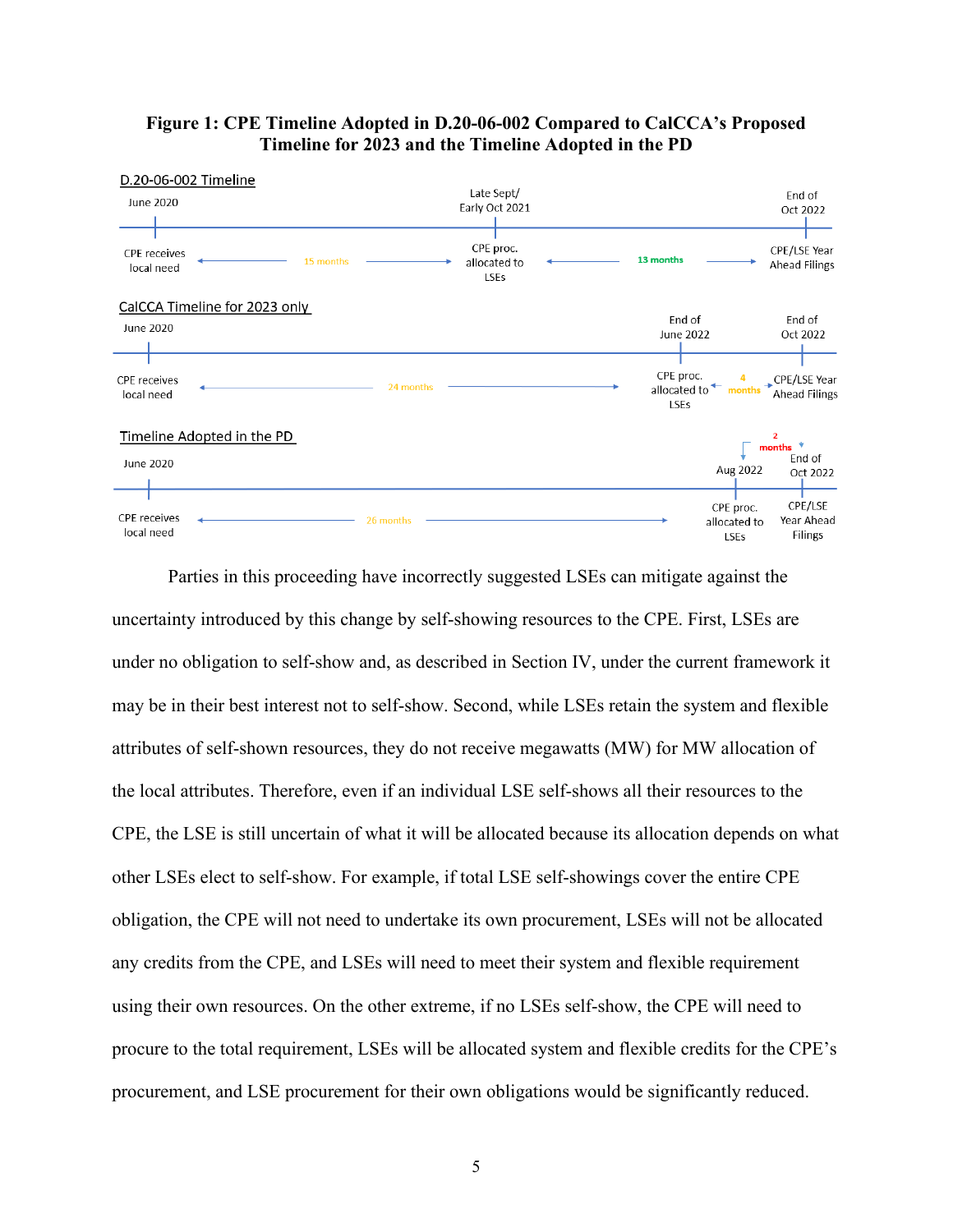

#### **Figure 1: CPE Timeline Adopted in D.20-06-002 Compared to CalCCA's Proposed Timeline for 2023 and the Timeline Adopted in the PD**

Parties in this proceeding have incorrectly suggested LSEs can mitigate against the uncertainty introduced by this change by self-showing resources to the CPE. First, LSEs are under no obligation to self-show and, as described in Section IV, under the current framework it may be in their best interest not to self-show. Second, while LSEs retain the system and flexible attributes of self-shown resources, they do not receive megawatts (MW) for MW allocation of the local attributes. Therefore, even if an individual LSE self-shows all their resources to the CPE, the LSE is still uncertain of what it will be allocated because its allocation depends on what other LSEs elect to self-show. For example, if total LSE self-showings cover the entire CPE obligation, the CPE will not need to undertake its own procurement, LSEs will not be allocated any credits from the CPE, and LSEs will need to meet their system and flexible requirement using their own resources. On the other extreme, if no LSEs self-show, the CPE will need to procure to the total requirement, LSEs will be allocated system and flexible credits for the CPE's procurement, and LSE procurement for their own obligations would be significantly reduced.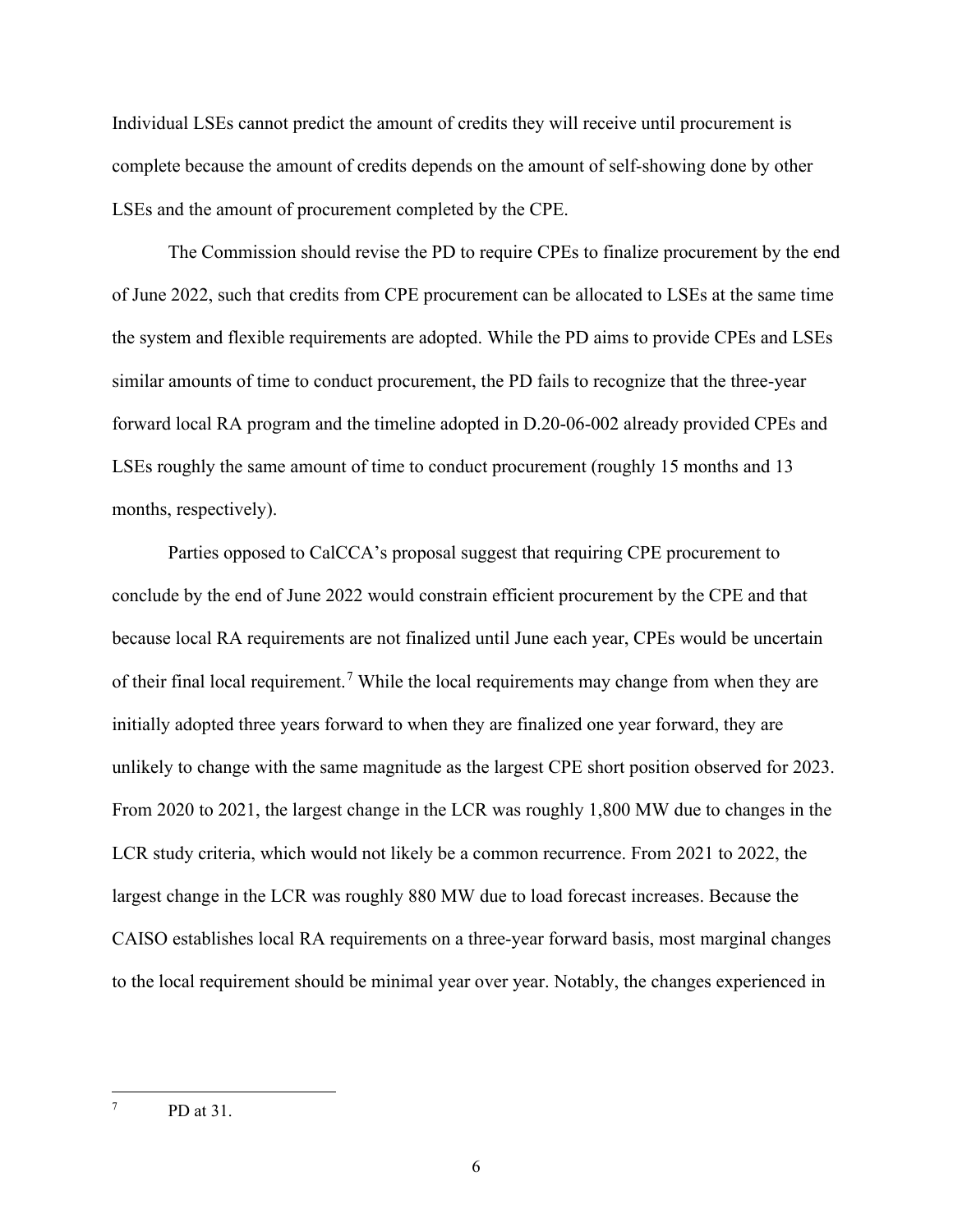Individual LSEs cannot predict the amount of credits they will receive until procurement is complete because the amount of credits depends on the amount of self-showing done by other LSEs and the amount of procurement completed by the CPE.

The Commission should revise the PD to require CPEs to finalize procurement by the end of June 2022, such that credits from CPE procurement can be allocated to LSEs at the same time the system and flexible requirements are adopted. While the PD aims to provide CPEs and LSEs similar amounts of time to conduct procurement, the PD fails to recognize that the three-year forward local RA program and the timeline adopted in D.20-06-002 already provided CPEs and LSEs roughly the same amount of time to conduct procurement (roughly 15 months and 13 months, respectively).

Parties opposed to CalCCA's proposal suggest that requiring CPE procurement to conclude by the end of June 2022 would constrain efficient procurement by the CPE and that because local RA requirements are not finalized until June each year, CPEs would be uncertain of their final local requirement.<sup>[7](#page-9-0)</sup> While the local requirements may change from when they are initially adopted three years forward to when they are finalized one year forward, they are unlikely to change with the same magnitude as the largest CPE short position observed for 2023. From 2020 to 2021, the largest change in the LCR was roughly 1,800 MW due to changes in the LCR study criteria, which would not likely be a common recurrence. From 2021 to 2022, the largest change in the LCR was roughly 880 MW due to load forecast increases. Because the CAISO establishes local RA requirements on a three-year forward basis, most marginal changes to the local requirement should be minimal year over year. Notably, the changes experienced in

<span id="page-9-0"></span><sup>7</sup> PD at 31.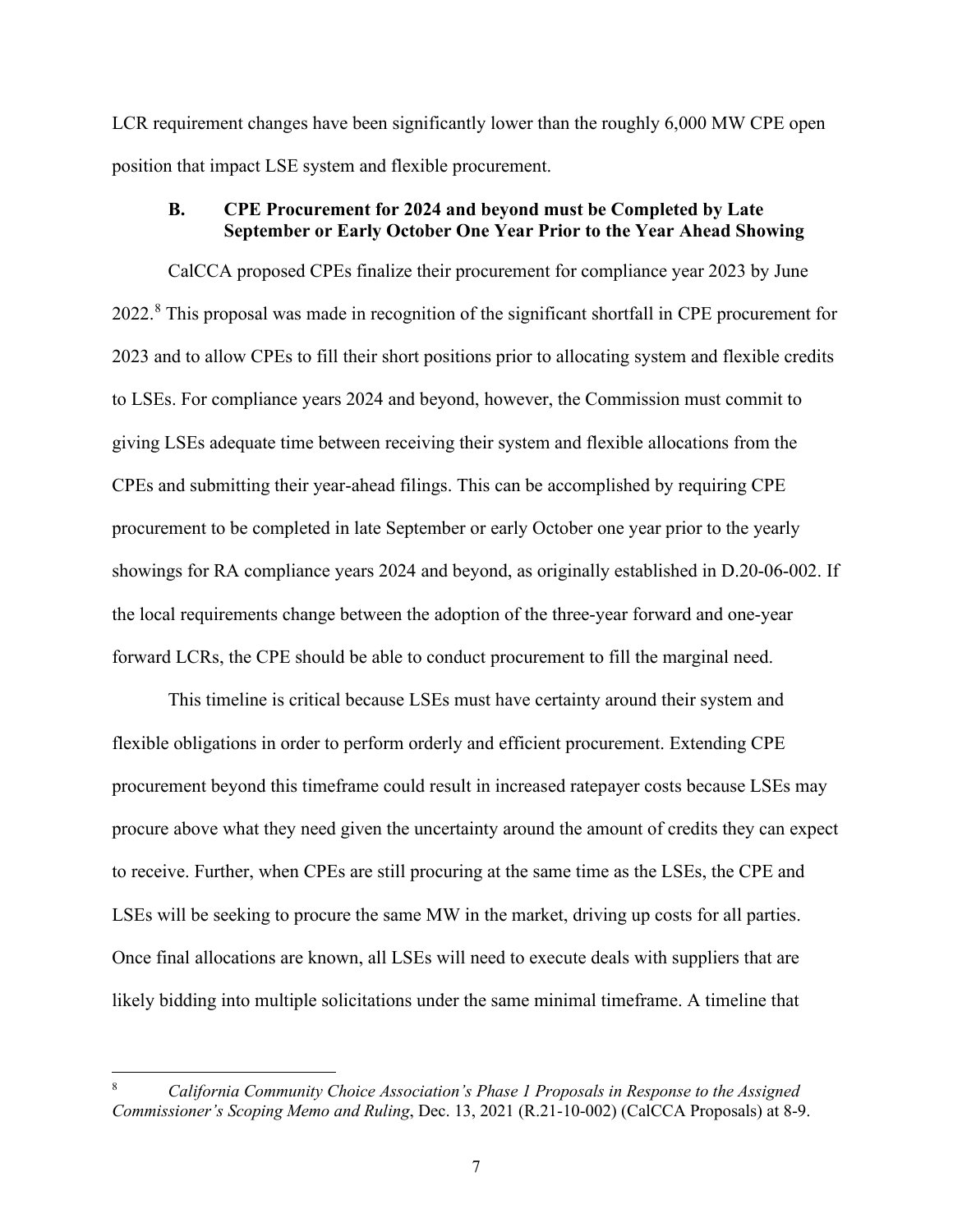LCR requirement changes have been significantly lower than the roughly 6,000 MW CPE open position that impact LSE system and flexible procurement.

#### <span id="page-10-0"></span>**B. CPE Procurement for 2024 and beyond must be Completed by Late September or Early October One Year Prior to the Year Ahead Showing**

CalCCA proposed CPEs finalize their procurement for compliance year 2023 by June 2022.<sup>[8](#page-10-1)</sup> This proposal was made in recognition of the significant shortfall in CPE procurement for 2023 and to allow CPEs to fill their short positions prior to allocating system and flexible credits to LSEs. For compliance years 2024 and beyond, however, the Commission must commit to giving LSEs adequate time between receiving their system and flexible allocations from the CPEs and submitting their year-ahead filings. This can be accomplished by requiring CPE procurement to be completed in late September or early October one year prior to the yearly showings for RA compliance years 2024 and beyond, as originally established in D.20-06-002. If the local requirements change between the adoption of the three-year forward and one-year forward LCRs, the CPE should be able to conduct procurement to fill the marginal need.

This timeline is critical because LSEs must have certainty around their system and flexible obligations in order to perform orderly and efficient procurement. Extending CPE procurement beyond this timeframe could result in increased ratepayer costs because LSEs may procure above what they need given the uncertainty around the amount of credits they can expect to receive. Further, when CPEs are still procuring at the same time as the LSEs, the CPE and LSEs will be seeking to procure the same MW in the market, driving up costs for all parties. Once final allocations are known, all LSEs will need to execute deals with suppliers that are likely bidding into multiple solicitations under the same minimal timeframe. A timeline that

<span id="page-10-1"></span><sup>8</sup> *California Community Choice Association's Phase 1 Proposals in Response to the Assigned Commissioner's Scoping Memo and Ruling*, Dec. 13, 2021 (R.21-10-002) (CalCCA Proposals) at 8-9.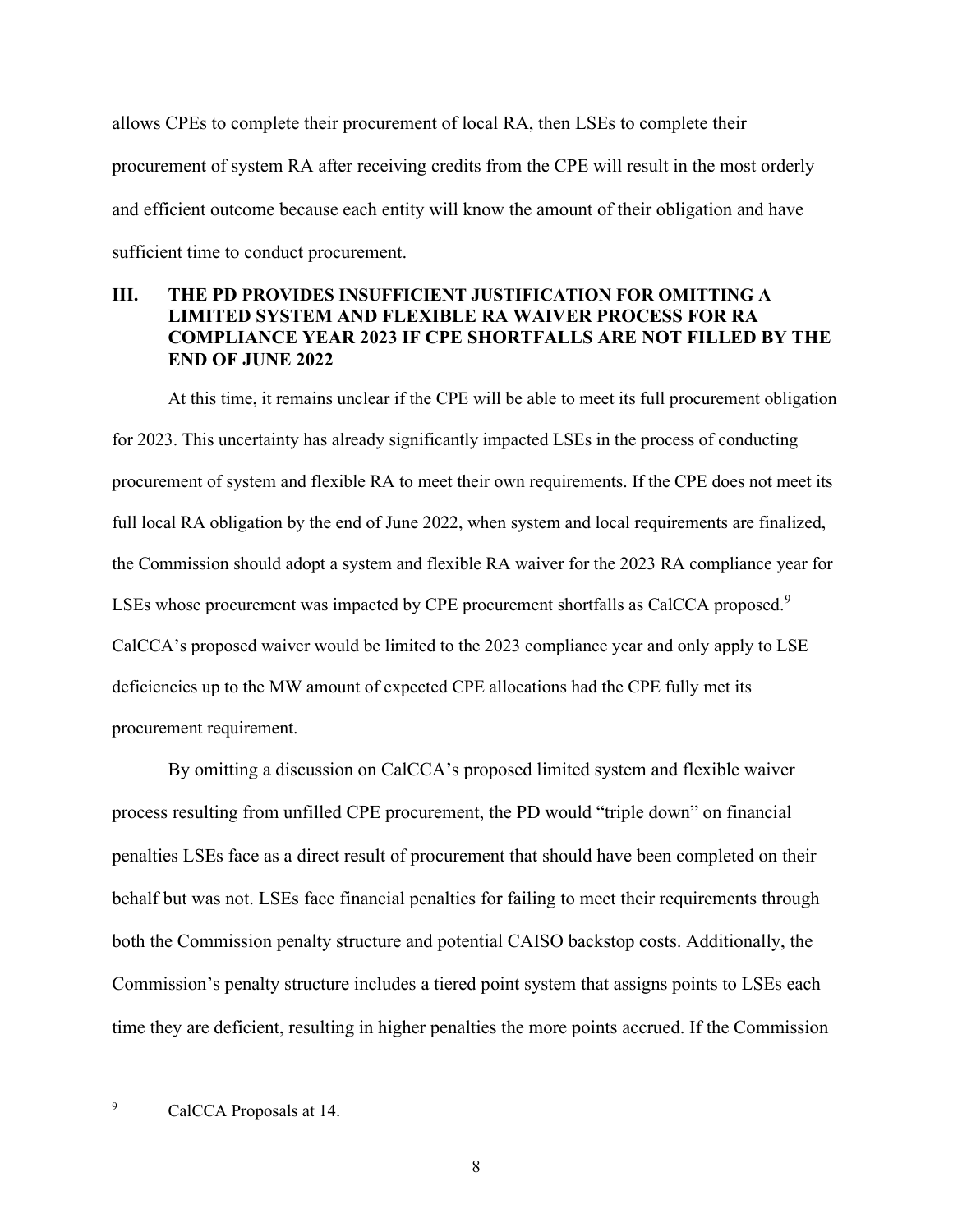allows CPEs to complete their procurement of local RA, then LSEs to complete their procurement of system RA after receiving credits from the CPE will result in the most orderly and efficient outcome because each entity will know the amount of their obligation and have sufficient time to conduct procurement.

# <span id="page-11-0"></span>**III. THE PD PROVIDES INSUFFICIENT JUSTIFICATION FOR OMITTING A LIMITED SYSTEM AND FLEXIBLE RA WAIVER PROCESS FOR RA COMPLIANCE YEAR 2023 IF CPE SHORTFALLS ARE NOT FILLED BY THE END OF JUNE 2022**

At this time, it remains unclear if the CPE will be able to meet its full procurement obligation for 2023. This uncertainty has already significantly impacted LSEs in the process of conducting procurement of system and flexible RA to meet their own requirements. If the CPE does not meet its full local RA obligation by the end of June 2022, when system and local requirements are finalized, the Commission should adopt a system and flexible RA waiver for the 2023 RA compliance year for LSEs whose procurement was impacted by CPE procurement shortfalls as CalCCA proposed.<sup>[9](#page-11-1)</sup> CalCCA's proposed waiver would be limited to the 2023 compliance year and only apply to LSE deficiencies up to the MW amount of expected CPE allocations had the CPE fully met its procurement requirement.

By omitting a discussion on CalCCA's proposed limited system and flexible waiver process resulting from unfilled CPE procurement, the PD would "triple down" on financial penalties LSEs face as a direct result of procurement that should have been completed on their behalf but was not. LSEs face financial penalties for failing to meet their requirements through both the Commission penalty structure and potential CAISO backstop costs. Additionally, the Commission's penalty structure includes a tiered point system that assigns points to LSEs each time they are deficient, resulting in higher penalties the more points accrued. If the Commission

<span id="page-11-1"></span>9 CalCCA Proposals at 14.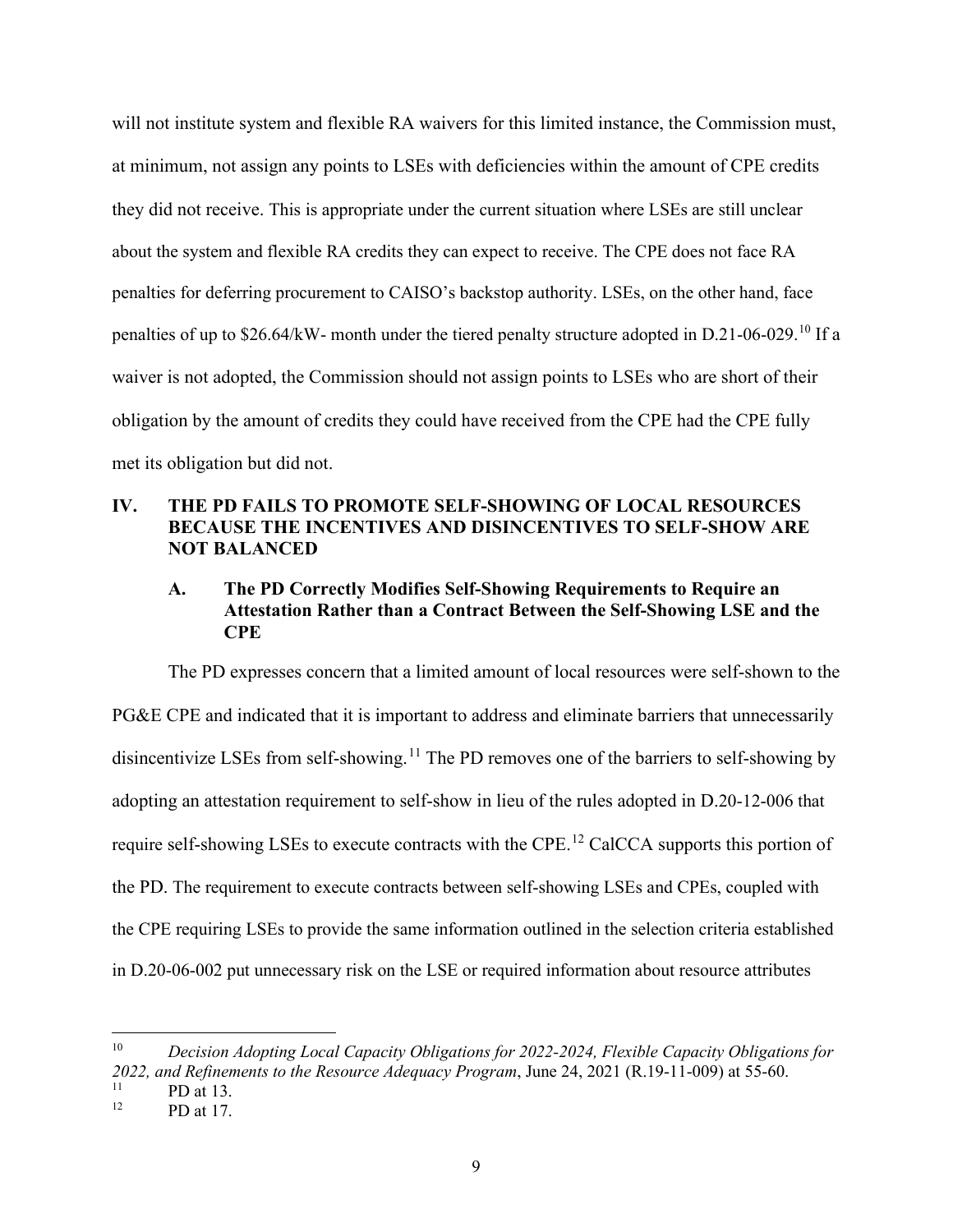will not institute system and flexible RA waivers for this limited instance, the Commission must, at minimum, not assign any points to LSEs with deficiencies within the amount of CPE credits they did not receive. This is appropriate under the current situation where LSEs are still unclear about the system and flexible RA credits they can expect to receive. The CPE does not face RA penalties for deferring procurement to CAISO's backstop authority. LSEs, on the other hand, face penalties of up to \$26.64/kW- month under the tiered penalty structure adopted in D.21-06-029.[10](#page-12-2) If a waiver is not adopted, the Commission should not assign points to LSEs who are short of their obligation by the amount of credits they could have received from the CPE had the CPE fully met its obligation but did not.

# <span id="page-12-0"></span>**IV. THE PD FAILS TO PROMOTE SELF-SHOWING OF LOCAL RESOURCES BECAUSE THE INCENTIVES AND DISINCENTIVES TO SELF-SHOW ARE NOT BALANCED**

# <span id="page-12-1"></span>**A. The PD Correctly Modifies Self-Showing Requirements to Require an Attestation Rather than a Contract Between the Self-Showing LSE and the CPE**

The PD expresses concern that a limited amount of local resources were self-shown to the PG&E CPE and indicated that it is important to address and eliminate barriers that unnecessarily disincentivize LSEs from self-showing.<sup>11</sup> The PD removes one of the barriers to self-showing by adopting an attestation requirement to self-show in lieu of the rules adopted in D.20-12-006 that require self-showing LSEs to execute contracts with the CPE.<sup>12</sup> CalCCA supports this portion of the PD. The requirement to execute contracts between self-showing LSEs and CPEs, coupled with the CPE requiring LSEs to provide the same information outlined in the selection criteria established in D.20-06-002 put unnecessary risk on the LSE or required information about resource attributes

<span id="page-12-2"></span><sup>10</sup> *Decision Adopting Local Capacity Obligations for 2022-2024, Flexible Capacity Obligations for 2022, and Refinements to the Resource Adequacy Program*, June 24, 2021 (R.19-11-009) at 55-60.

<span id="page-12-4"></span><span id="page-12-3"></span> $^{11}$  PD at 13.

PD at 17.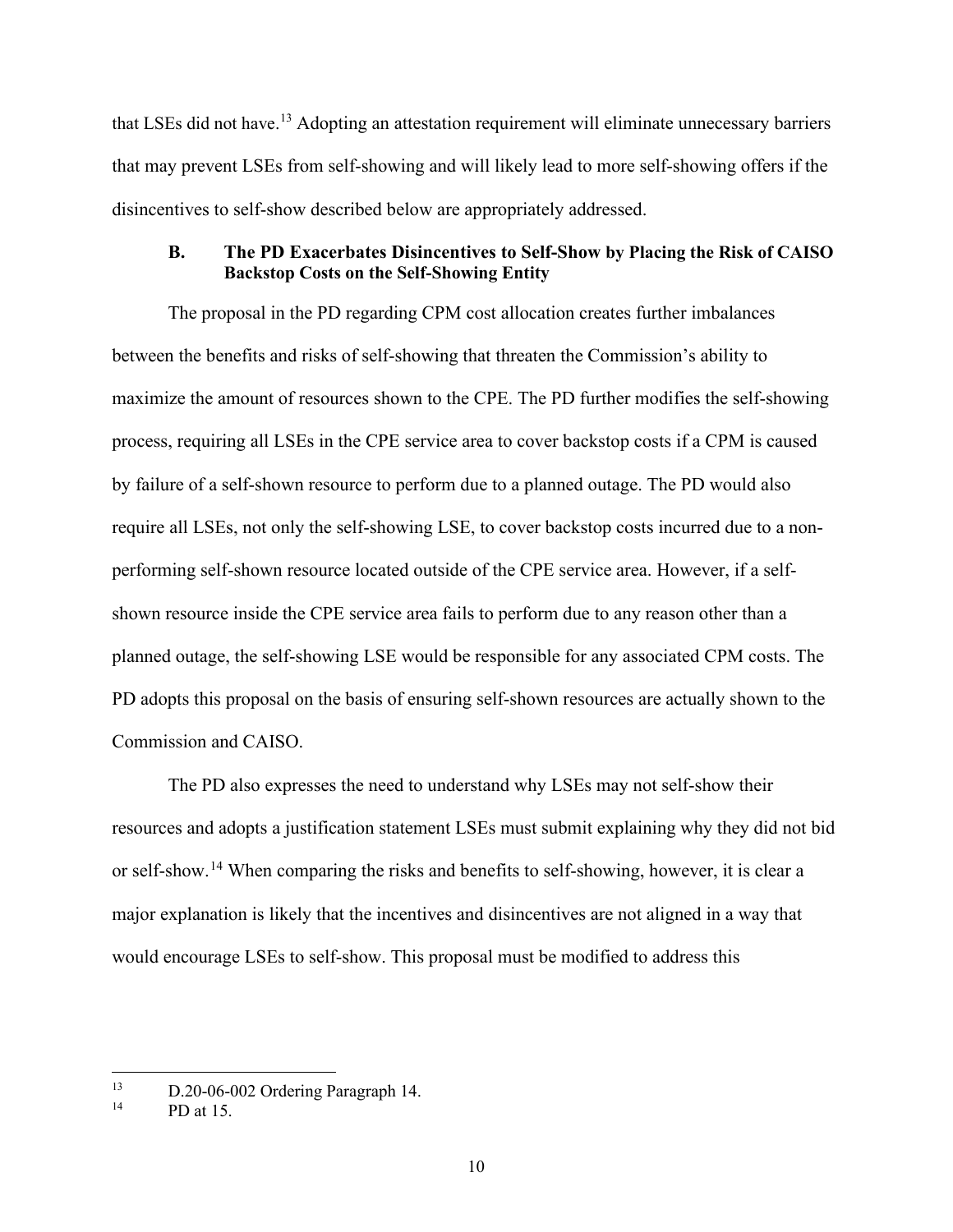that LSEs did not have.<sup>[13](#page-13-1)</sup> Adopting an attestation requirement will eliminate unnecessary barriers that may prevent LSEs from self-showing and will likely lead to more self-showing offers if the disincentives to self-show described below are appropriately addressed.

### <span id="page-13-0"></span>**B. The PD Exacerbates Disincentives to Self-Show by Placing the Risk of CAISO Backstop Costs on the Self-Showing Entity**

The proposal in the PD regarding CPM cost allocation creates further imbalances between the benefits and risks of self-showing that threaten the Commission's ability to maximize the amount of resources shown to the CPE. The PD further modifies the self-showing process, requiring all LSEs in the CPE service area to cover backstop costs if a CPM is caused by failure of a self-shown resource to perform due to a planned outage. The PD would also require all LSEs, not only the self-showing LSE, to cover backstop costs incurred due to a nonperforming self-shown resource located outside of the CPE service area. However, if a selfshown resource inside the CPE service area fails to perform due to any reason other than a planned outage, the self-showing LSE would be responsible for any associated CPM costs. The PD adopts this proposal on the basis of ensuring self-shown resources are actually shown to the Commission and CAISO.

The PD also expresses the need to understand why LSEs may not self-show their resources and adopts a justification statement LSEs must submit explaining why they did not bid or self-show.<sup>[14](#page-13-2)</sup> When comparing the risks and benefits to self-showing, however, it is clear a major explanation is likely that the incentives and disincentives are not aligned in a way that would encourage LSEs to self-show. This proposal must be modified to address this

<span id="page-13-2"></span><span id="page-13-1"></span><sup>&</sup>lt;sup>13</sup> D.20-06-002 Ordering Paragraph 14.<br><sup>14</sup> PD st <sup>15</sup>

PD at 15.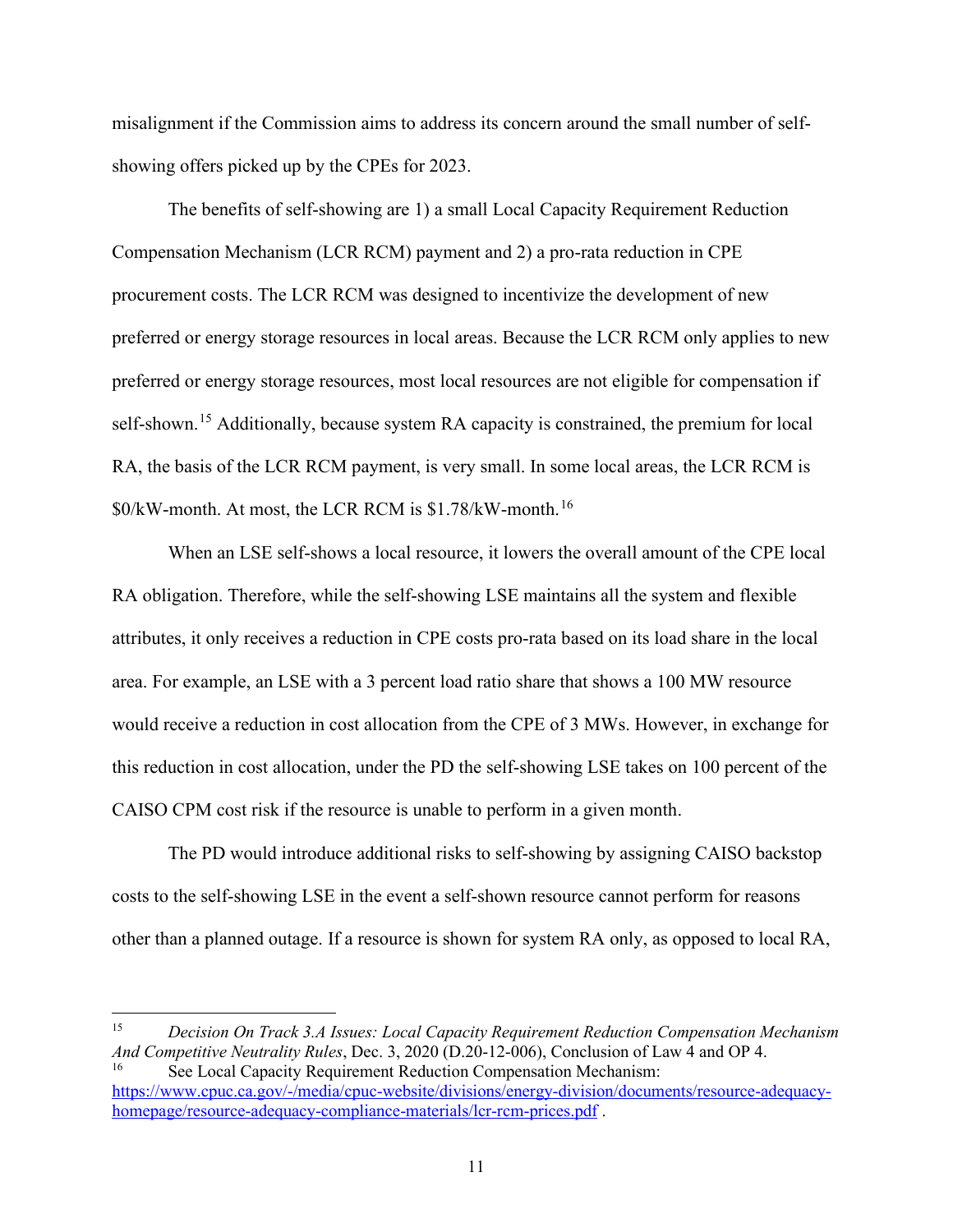misalignment if the Commission aims to address its concern around the small number of selfshowing offers picked up by the CPEs for 2023.

The benefits of self-showing are 1) a small Local Capacity Requirement Reduction Compensation Mechanism (LCR RCM) payment and 2) a pro-rata reduction in CPE procurement costs. The LCR RCM was designed to incentivize the development of new preferred or energy storage resources in local areas. Because the LCR RCM only applies to new preferred or energy storage resources, most local resources are not eligible for compensation if self-shown.<sup>[15](#page-14-0)</sup> Additionally, because system RA capacity is constrained, the premium for local RA, the basis of the LCR RCM payment, is very small. In some local areas, the LCR RCM is \$0/kW-month. At most, the LCR RCM is \$1.78/kW-month.[16](#page-14-1)

When an LSE self-shows a local resource, it lowers the overall amount of the CPE local RA obligation. Therefore, while the self-showing LSE maintains all the system and flexible attributes, it only receives a reduction in CPE costs pro-rata based on its load share in the local area. For example, an LSE with a 3 percent load ratio share that shows a 100 MW resource would receive a reduction in cost allocation from the CPE of 3 MWs. However, in exchange for this reduction in cost allocation, under the PD the self-showing LSE takes on 100 percent of the CAISO CPM cost risk if the resource is unable to perform in a given month.

The PD would introduce additional risks to self-showing by assigning CAISO backstop costs to the self-showing LSE in the event a self-shown resource cannot perform for reasons other than a planned outage. If a resource is shown for system RA only, as opposed to local RA,

<span id="page-14-0"></span><sup>15</sup> *Decision On Track 3.A Issues: Local Capacity Requirement Reduction Compensation Mechanism And Competitive Neutrality Rules*, Dec. 3, 2020 (D.20-12-006), Conclusion of Law 4 and OP 4. See Local Capacity Requirement Reduction Compensation Mechanism:

<span id="page-14-1"></span>[https://www.cpuc.ca.gov/-/media/cpuc-website/divisions/energy-division/documents/resource-adequacy](https://www.cpuc.ca.gov/-/media/cpuc-website/divisions/energy-division/documents/resource-adequacy-homepage/resource-adequacy-compliance-materials/lcr-rcm-prices.pdf)[homepage/resource-adequacy-compliance-materials/lcr-rcm-prices.pdf](https://www.cpuc.ca.gov/-/media/cpuc-website/divisions/energy-division/documents/resource-adequacy-homepage/resource-adequacy-compliance-materials/lcr-rcm-prices.pdf) .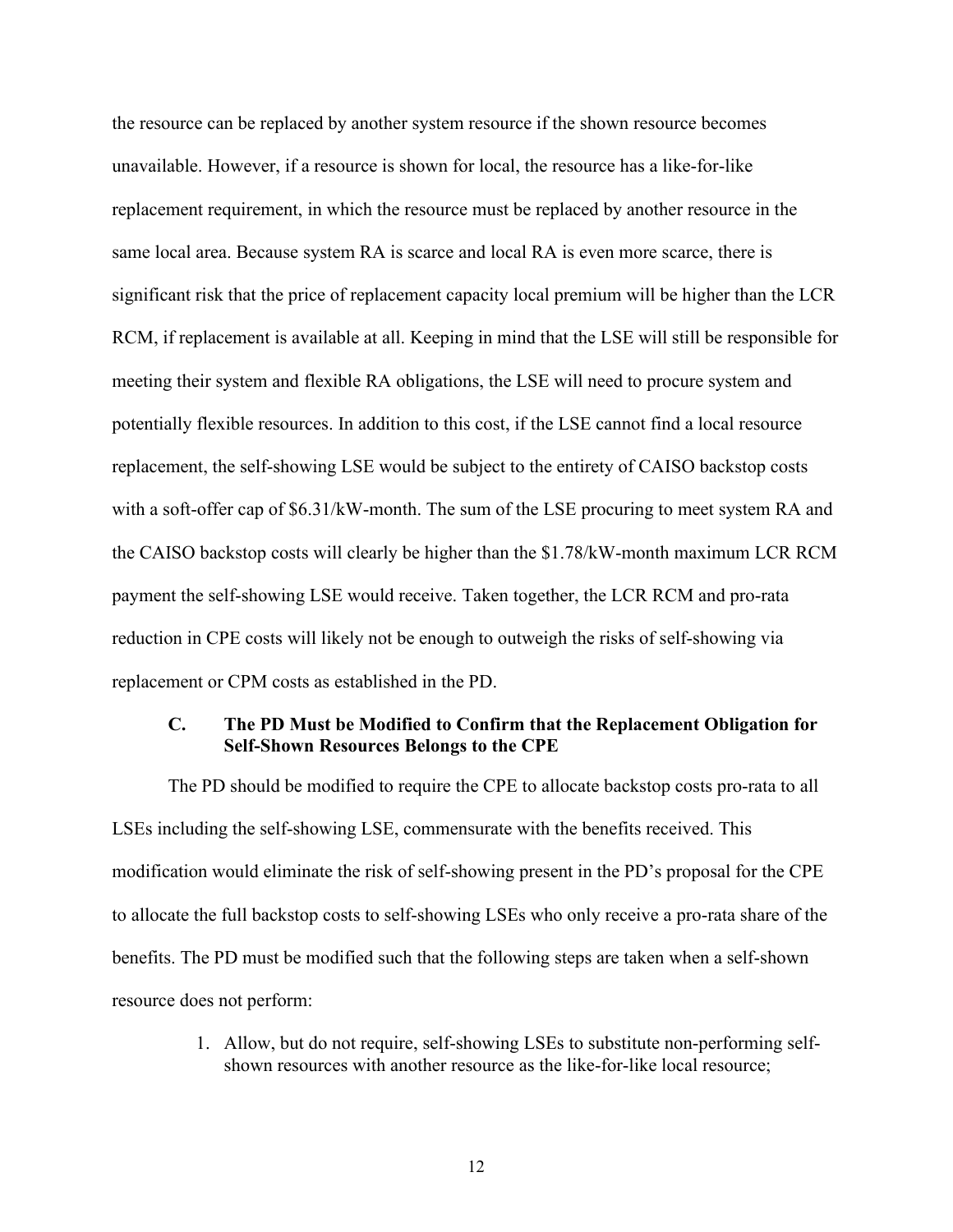the resource can be replaced by another system resource if the shown resource becomes unavailable. However, if a resource is shown for local, the resource has a like-for-like replacement requirement, in which the resource must be replaced by another resource in the same local area. Because system RA is scarce and local RA is even more scarce, there is significant risk that the price of replacement capacity local premium will be higher than the LCR RCM, if replacement is available at all. Keeping in mind that the LSE will still be responsible for meeting their system and flexible RA obligations, the LSE will need to procure system and potentially flexible resources. In addition to this cost, if the LSE cannot find a local resource replacement, the self-showing LSE would be subject to the entirety of CAISO backstop costs with a soft-offer cap of \$6.31/kW-month. The sum of the LSE procuring to meet system RA and the CAISO backstop costs will clearly be higher than the \$1.78/kW-month maximum LCR RCM payment the self-showing LSE would receive. Taken together, the LCR RCM and pro-rata reduction in CPE costs will likely not be enough to outweigh the risks of self-showing via replacement or CPM costs as established in the PD.

#### <span id="page-15-0"></span>**C. The PD Must be Modified to Confirm that the Replacement Obligation for Self-Shown Resources Belongs to the CPE**

The PD should be modified to require the CPE to allocate backstop costs pro-rata to all LSEs including the self-showing LSE, commensurate with the benefits received. This modification would eliminate the risk of self-showing present in the PD's proposal for the CPE to allocate the full backstop costs to self-showing LSEs who only receive a pro-rata share of the benefits. The PD must be modified such that the following steps are taken when a self-shown resource does not perform:

> 1. Allow, but do not require, self-showing LSEs to substitute non-performing selfshown resources with another resource as the like-for-like local resource;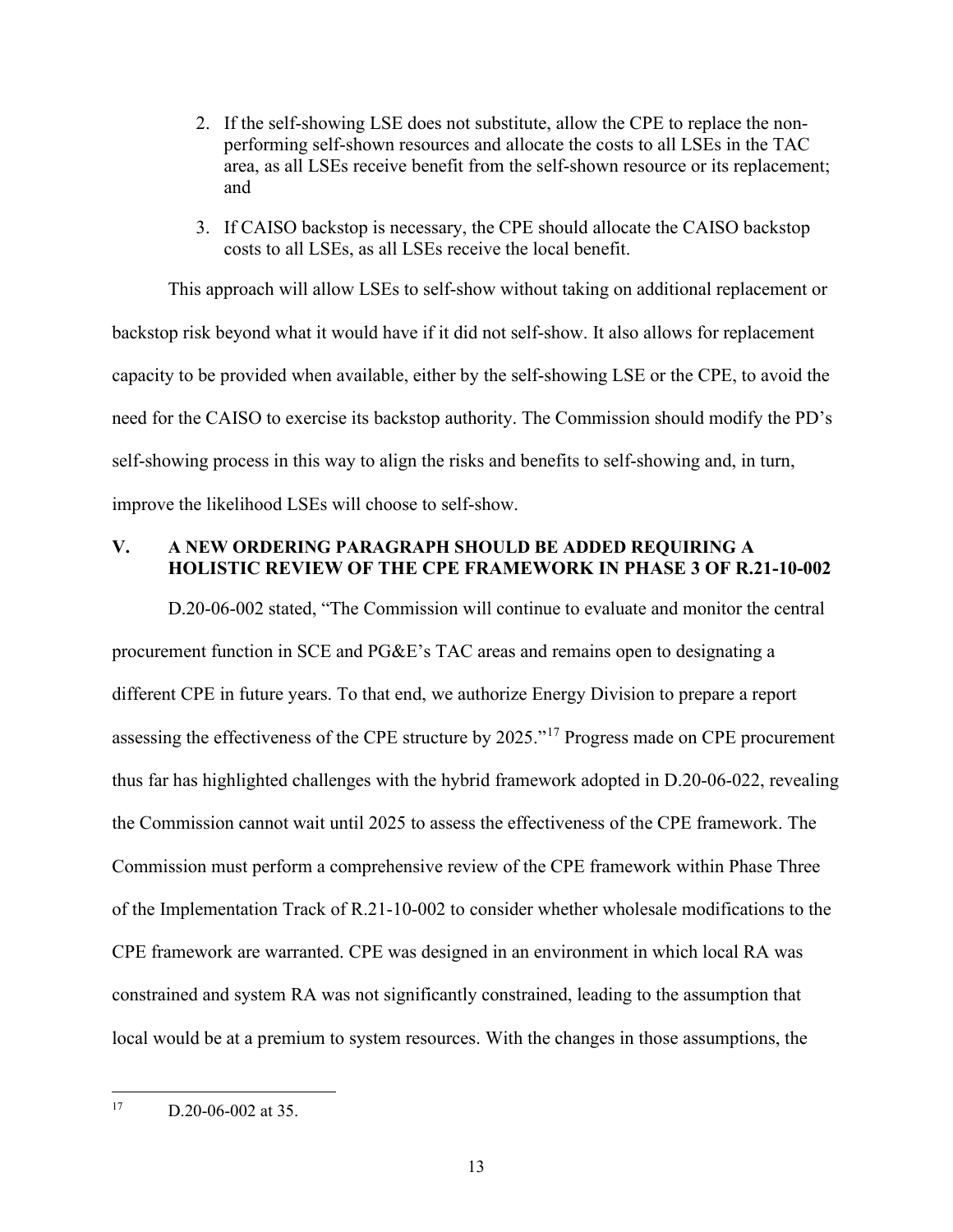- 2. If the self-showing LSE does not substitute, allow the CPE to replace the nonperforming self-shown resources and allocate the costs to all LSEs in the TAC area, as all LSEs receive benefit from the self-shown resource or its replacement; and
- 3. If CAISO backstop is necessary, the CPE should allocate the CAISO backstop costs to all LSEs, as all LSEs receive the local benefit.

This approach will allow LSEs to self-show without taking on additional replacement or backstop risk beyond what it would have if it did not self-show. It also allows for replacement capacity to be provided when available, either by the self-showing LSE or the CPE, to avoid the need for the CAISO to exercise its backstop authority. The Commission should modify the PD's self-showing process in this way to align the risks and benefits to self-showing and, in turn, improve the likelihood LSEs will choose to self-show.

### <span id="page-16-0"></span>**V. A NEW ORDERING PARAGRAPH SHOULD BE ADDED REQUIRING A HOLISTIC REVIEW OF THE CPE FRAMEWORK IN PHASE 3 OF R.21-10-002**

D.20-06-002 stated, "The Commission will continue to evaluate and monitor the central procurement function in SCE and PG&E's TAC areas and remains open to designating a different CPE in future years. To that end, we authorize Energy Division to prepare a report assessing the effectiveness of the CPE structure by 2025."<sup>17</sup> Progress made on CPE procurement thus far has highlighted challenges with the hybrid framework adopted in D.20-06-022, revealing the Commission cannot wait until 2025 to assess the effectiveness of the CPE framework. The Commission must perform a comprehensive review of the CPE framework within Phase Three of the Implementation Track of R.21-10-002 to consider whether wholesale modifications to the CPE framework are warranted. CPE was designed in an environment in which local RA was constrained and system RA was not significantly constrained, leading to the assumption that local would be at a premium to system resources. With the changes in those assumptions, the

<span id="page-16-1"></span><sup>17</sup> D.20-06-002 at 35.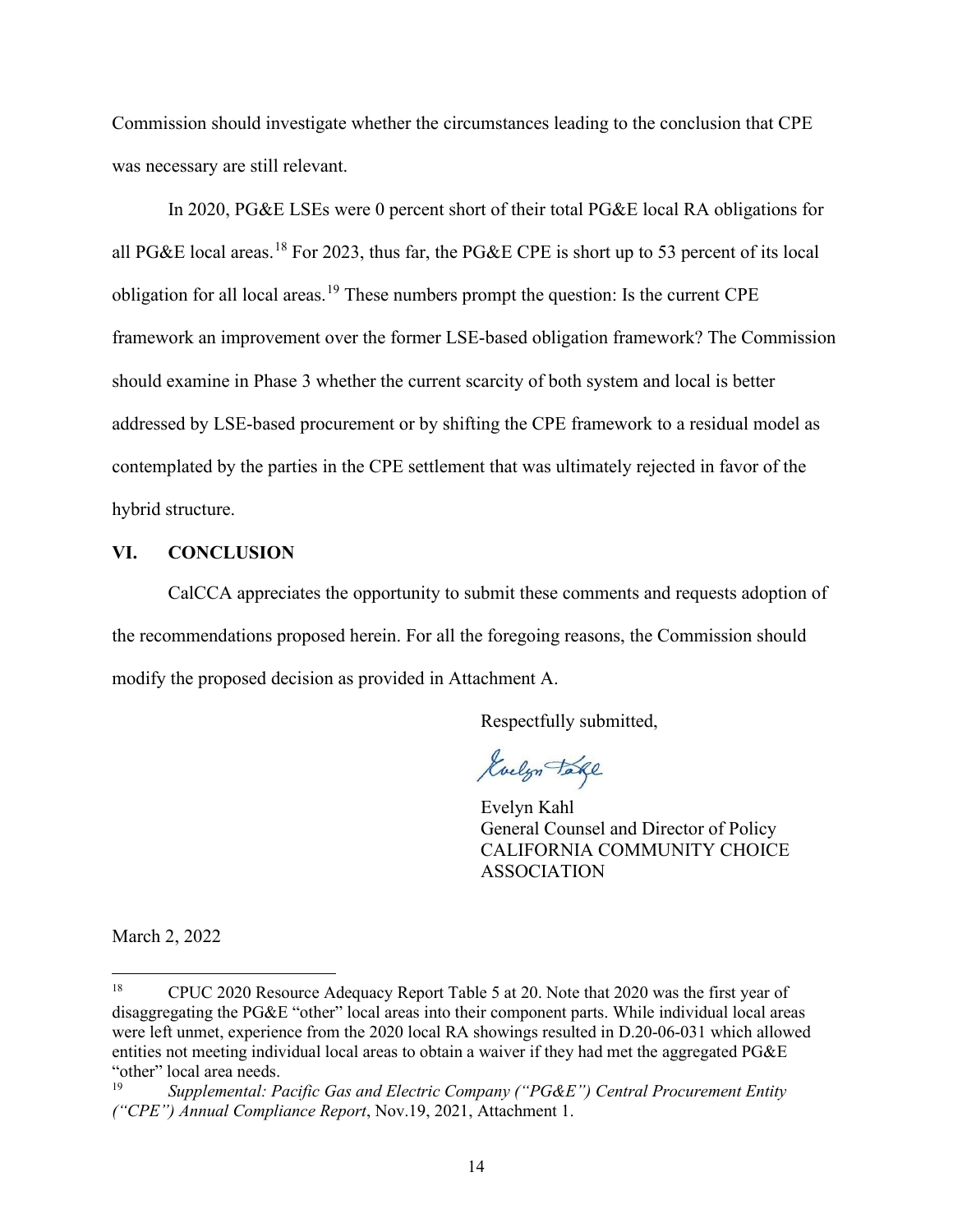Commission should investigate whether the circumstances leading to the conclusion that CPE was necessary are still relevant.

In 2020, PG&E LSEs were 0 percent short of their total PG&E local RA obligations for all PG&E local areas.<sup>[18](#page-17-1)</sup> For 2023, thus far, the PG&E CPE is short up to 53 percent of its local obligation for all local areas.<sup>[19](#page-17-2)</sup> These numbers prompt the question: Is the current CPE framework an improvement over the former LSE-based obligation framework? The Commission should examine in Phase 3 whether the current scarcity of both system and local is better addressed by LSE-based procurement or by shifting the CPE framework to a residual model as contemplated by the parties in the CPE settlement that was ultimately rejected in favor of the hybrid structure.

#### <span id="page-17-0"></span>**VI. CONCLUSION**

CalCCA appreciates the opportunity to submit these comments and requests adoption of the recommendations proposed herein. For all the foregoing reasons, the Commission should modify the proposed decision as provided in Attachment A.

Respectfully submitted,

Guelyn Take

Evelyn Kahl General Counsel and Director of Policy CALIFORNIA COMMUNITY CHOICE ASSOCIATION

March 2, 2022

<span id="page-17-1"></span><sup>18</sup> CPUC 2020 Resource Adequacy Report Table 5 at 20. Note that 2020 was the first year of disaggregating the PG&E "other" local areas into their component parts. While individual local areas were left unmet, experience from the 2020 local RA showings resulted in D.20-06-031 which allowed entities not meeting individual local areas to obtain a waiver if they had met the aggregated PG&E "other" local area needs.<br> $\frac{19}{19}$  Supplemental: P

<span id="page-17-2"></span><sup>19</sup> *Supplemental: Pacific Gas and Electric Company ("PG&E") Central Procurement Entity ("CPE") Annual Compliance Report*, Nov.19, 2021, Attachment 1.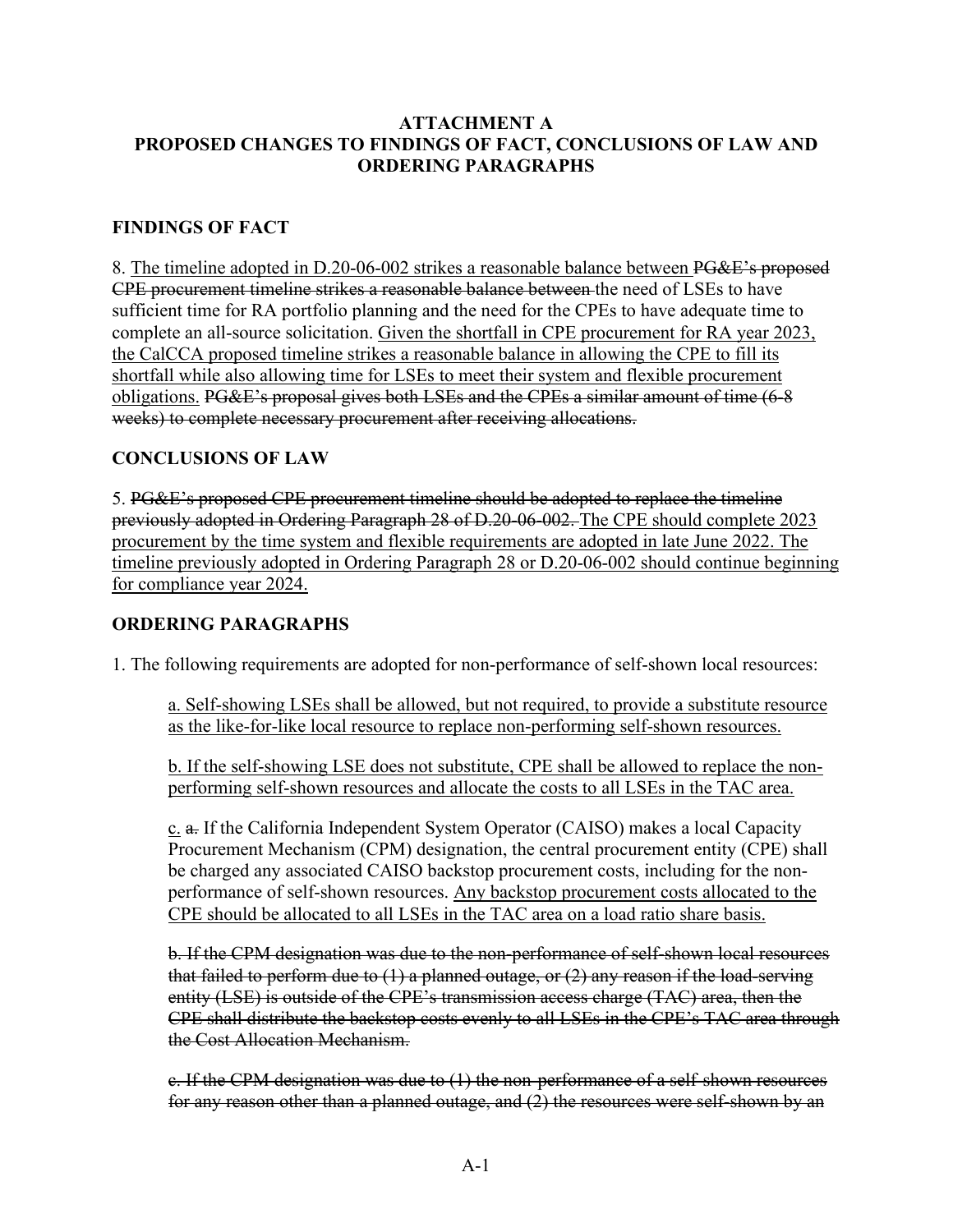# **ATTACHMENT A PROPOSED CHANGES TO FINDINGS OF FACT, CONCLUSIONS OF LAW AND ORDERING PARAGRAPHS**

# **FINDINGS OF FACT**

8. The timeline adopted in D.20-06-002 strikes a reasonable balance between PG&E's proposed CPE procurement timeline strikes a reasonable balance between the need of LSEs to have sufficient time for RA portfolio planning and the need for the CPEs to have adequate time to complete an all-source solicitation. Given the shortfall in CPE procurement for RA year 2023, the CalCCA proposed timeline strikes a reasonable balance in allowing the CPE to fill its shortfall while also allowing time for LSEs to meet their system and flexible procurement obligations. PG&E's proposal gives both LSEs and the CPEs a similar amount of time (6-8 weeks) to complete necessary procurement after receiving allocations.

# **CONCLUSIONS OF LAW**

5. PG&E's proposed CPE procurement timeline should be adopted to replace the timeline previously adopted in Ordering Paragraph 28 of D.20-06-002. The CPE should complete 2023 procurement by the time system and flexible requirements are adopted in late June 2022. The timeline previously adopted in Ordering Paragraph 28 or D.20-06-002 should continue beginning for compliance year 2024.

# **ORDERING PARAGRAPHS**

1. The following requirements are adopted for non-performance of self-shown local resources:

a. Self-showing LSEs shall be allowed, but not required, to provide a substitute resource as the like-for-like local resource to replace non-performing self-shown resources.

b. If the self-showing LSE does not substitute, CPE shall be allowed to replace the nonperforming self-shown resources and allocate the costs to all LSEs in the TAC area.

c. a. If the California Independent System Operator (CAISO) makes a local Capacity Procurement Mechanism (CPM) designation, the central procurement entity (CPE) shall be charged any associated CAISO backstop procurement costs, including for the nonperformance of self-shown resources. Any backstop procurement costs allocated to the CPE should be allocated to all LSEs in the TAC area on a load ratio share basis.

b. If the CPM designation was due to the non-performance of self-shown local resources that failed to perform due to  $(1)$  a planned outage, or  $(2)$  any reason if the load-serving entity (LSE) is outside of the CPE's transmission access charge (TAC) area, then the CPE shall distribute the backstop costs evenly to all LSEs in the CPE's TAC area through the Cost Allocation Mechanism.

c. If the CPM designation was due to (1) the non-performance of a self-shown resources for any reason other than a planned outage, and (2) the resources were self-shown by an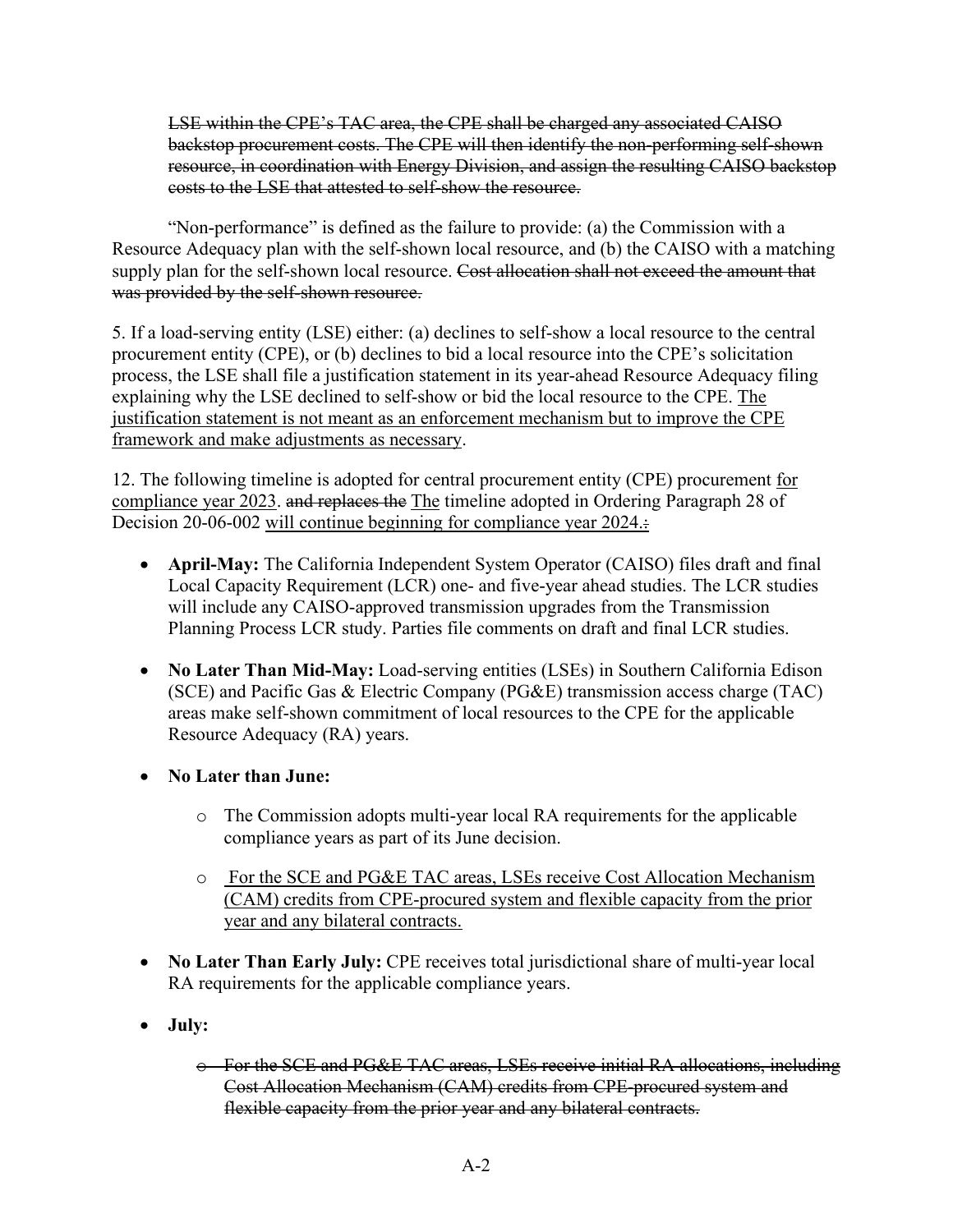LSE within the CPE's TAC area, the CPE shall be charged any associated CAISO backstop procurement costs. The CPE will then identify the non-performing self-shown resource, in coordination with Energy Division, and assign the resulting CAISO backstop costs to the LSE that attested to self-show the resource.

"Non-performance" is defined as the failure to provide: (a) the Commission with a Resource Adequacy plan with the self-shown local resource, and (b) the CAISO with a matching supply plan for the self-shown local resource. Cost allocation shall not exceed the amount that was provided by the self-shown resource.

5. If a load-serving entity (LSE) either: (a) declines to self-show a local resource to the central procurement entity (CPE), or (b) declines to bid a local resource into the CPE's solicitation process, the LSE shall file a justification statement in its year-ahead Resource Adequacy filing explaining why the LSE declined to self-show or bid the local resource to the CPE. The justification statement is not meant as an enforcement mechanism but to improve the CPE framework and make adjustments as necessary.

12. The following timeline is adopted for central procurement entity (CPE) procurement for compliance year 2023. and replaces the The timeline adopted in Ordering Paragraph 28 of Decision 20-06-002 will continue beginning for compliance year 2024.

- **April-May:** The California Independent System Operator (CAISO) files draft and final Local Capacity Requirement (LCR) one- and five-year ahead studies. The LCR studies will include any CAISO-approved transmission upgrades from the Transmission Planning Process LCR study. Parties file comments on draft and final LCR studies.
- **No Later Than Mid-May:** Load-serving entities (LSEs) in Southern California Edison (SCE) and Pacific Gas & Electric Company (PG&E) transmission access charge (TAC) areas make self-shown commitment of local resources to the CPE for the applicable Resource Adequacy (RA) years.
- **No Later than June:**
	- o The Commission adopts multi-year local RA requirements for the applicable compliance years as part of its June decision.
	- o For the SCE and PG&E TAC areas, LSEs receive Cost Allocation Mechanism (CAM) credits from CPE-procured system and flexible capacity from the prior year and any bilateral contracts.
- **No Later Than Early July:** CPE receives total jurisdictional share of multi-year local RA requirements for the applicable compliance years.
- **July:** 
	- o For the SCE and PG&E TAC areas, LSEs receive initial RA allocations, including Cost Allocation Mechanism (CAM) credits from CPE-procured system and flexible capacity from the prior year and any bilateral contracts.